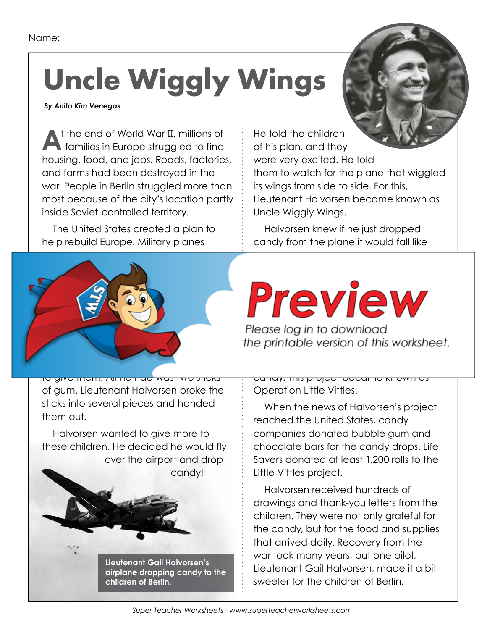# **Uncle Wiggly Wings**

### *By Anita Kim Venegas*

**A**t the end of World War II, millions of families in Europe struggled to find housing, food, and jobs. Roads, factories, and farms had been destroyed in the war. People in Berlin struggled more than most because of the city's location partly inside Soviet-controlled territory.

The United States created a plan to help rebuild Europe. Military planes

He told the children of his plan, and they were very excited. He told them to watch for the plane that wiggled its wings from side to side. For this, Lieutenant Halvorsen became known as Uncle Wiggly Wings.

Halvorsen knew if he just dropped candy from the plane it would fall like

rocks. To avoid this, he made parachutes

candy. This would help the candy float to



UKA MIA  $\mathbf{U} \hookrightarrow \mathbf{V}$  is the run when  $\mathbf{V}$ Please log in to download

the printable version of this worksheet.  $\frac{1}{\sqrt{2}}$ 

of gum. Lieutenant Halvorsen broke the sticks into several pieces and handed them out.

Halvorsen wanted to give more to these children. He decided he would fly over the airport and drop candy!

**Lieutenant Gail Halvorsen's airplane dropping candy to the children of Berlin.**

candy. This project became known as Operation Little Vittles.

When the news of Halvorsen's project reached the United States, candy companies donated bubble gum and chocolate bars for the candy drops. Life Savers donated at least 1,200 rolls to the Little Vittles project.

Halvorsen received hundreds of drawings and thank-you letters from the children. They were not only grateful for the candy, but for the food and supplies that arrived daily. Recovery from the war took many years, but one pilot, Lieutenant Gail Halvorsen, made it a bit sweeter for the children of Berlin.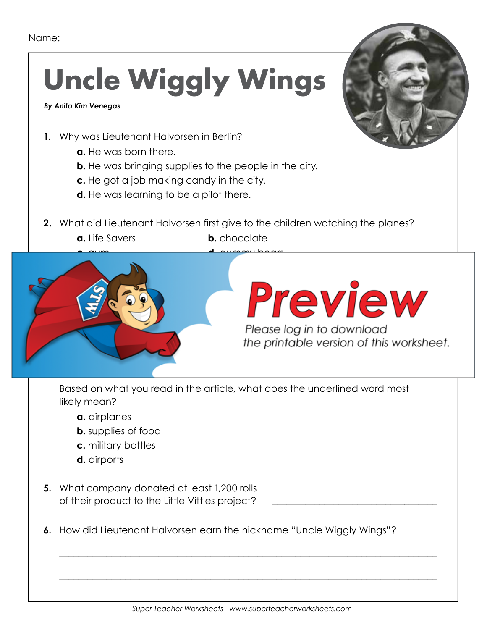# **Uncle Wiggly Wings**

 *By Anita Kim Venegas*

- **1.** Why was Lieutenant Halvorsen in Berlin?
	- **a.** He was born there.
	- **b.** He was bringing supplies to the people in the city.
	- **c.** He got a job making candy in the city.
	- **d.** He was learning to be a pilot there.
- **2.** What did Lieutenant Halvorsen first give to the children watching the planes? **a.** Life Savers **b.** chocolate



Based on what you read in the article, what does the underlined word most likely mean?

- **a.** airplanes
- **b.** supplies of food
- **c.** military battles
- **d.** airports
- **5.** What company donated at least 1,200 rolls of their product to the Little Vittles project?
- **6.** How did Lieutenant Halvorsen earn the nickname "Uncle Wiggly Wings"?

\_\_\_\_\_\_\_\_\_\_\_\_\_\_\_\_\_\_\_\_\_\_\_\_\_\_\_\_\_\_\_\_\_\_\_\_\_\_\_\_\_\_\_\_\_\_\_\_\_\_\_\_\_\_\_\_\_\_\_\_\_\_\_\_\_\_\_\_\_\_\_\_\_\_\_\_\_\_\_\_

\_\_\_\_\_\_\_\_\_\_\_\_\_\_\_\_\_\_\_\_\_\_\_\_\_\_\_\_\_\_\_\_\_\_\_\_\_\_\_\_\_\_\_\_\_\_\_\_\_\_\_\_\_\_\_\_\_\_\_\_\_\_\_\_\_\_\_\_\_\_\_\_\_\_\_\_\_\_\_\_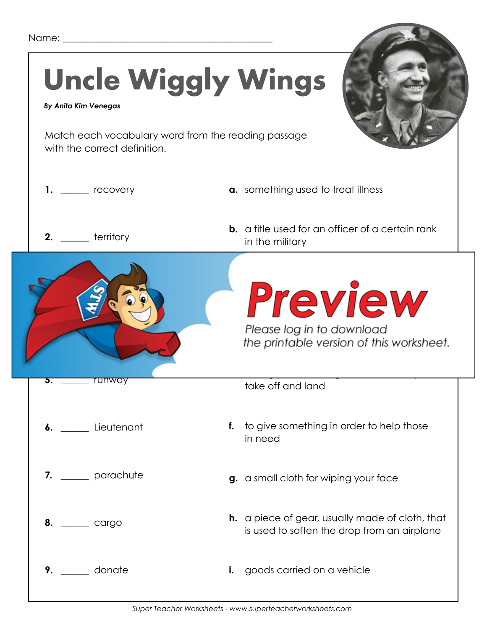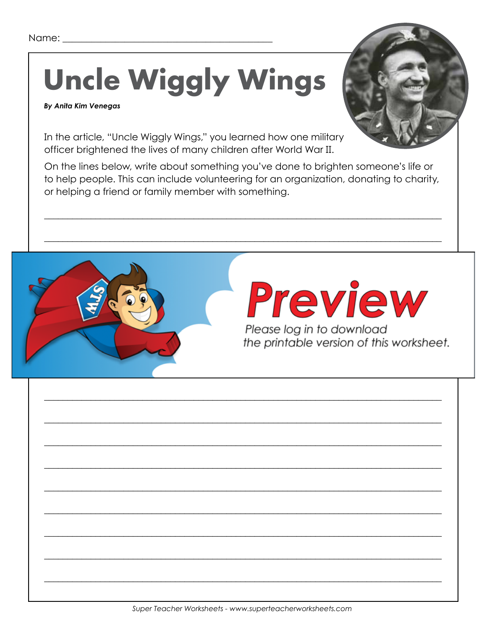## **Uncle Wiggly Wings**

#### **By Anita Kim Venegas**



In the article, "Uncle Wiggly Wings," you learned how one military officer brightened the lives of many children after World War II.

On the lines below, write about something you've done to brighten someone's life or to help people. This can include volunteering for an organization, donating to charity, or helping a friend or family member with something.

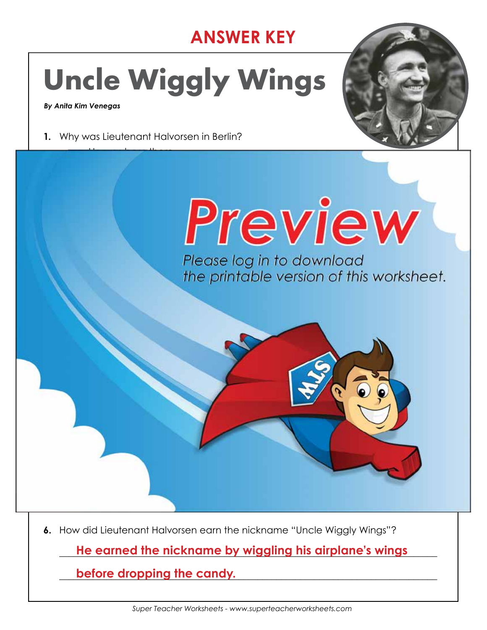### **ANSWER KEY**

## **Uncle Wiggly Wings**



**1.** Why was Lieutenant Halvorsen in Berlin?



 **a.** He was born there. **d.** He was learning to be a pilot there. **2.** What did Lieutenant Halvorsen first give to the children watching the planes? **a.** Life Savers **b.** chocolate **Please log in to download** the printable version of this worksheet.  $\mathbf{v}$  ,  $\mathbf{v}$  ,  $\mathbf{v}$  ,  $\mathbf{v}$  ,  $\mathbf{v}$  ,  $\mathbf{v}$  ,  $\mathbf{v}$  ,  $\mathbf{v}$  ,  $\mathbf{v}$  ,  $\mathbf{v}$  ,  $\mathbf{v}$  ,  $\mathbf{v}$  ,  $\mathbf{v}$  ,  $\mathbf{v}$  ,  $\mathbf{v}$  ,  $\mathbf{v}$  ,  $\mathbf{v}$  ,  $\mathbf{v}$  ,  $\mathbf{v}$  ,  $\mathbf{v}$  ,  $\Box$  and  $\Box$  and  $\Box$  and  $\Box$  and  $\Box$  and  $\Box$  and  $\Box$  and  $\Box$  and  $\Box$  and  $\Box$  and  $\Box$ **4.** The last sentence of paragraph six reads: *This project became known as Operation Little Vittles.*  $\mathbf{E} = \mathbf{E} \cdot \mathbf{E} \cdot \mathbf{E} \cdot \mathbf{E} \cdot \mathbf{E} \cdot \mathbf{E} \cdot \mathbf{E} \cdot \mathbf{E} \cdot \mathbf{E} \cdot \mathbf{E} \cdot \mathbf{E} \cdot \mathbf{E} \cdot \mathbf{E} \cdot \mathbf{E} \cdot \mathbf{E} \cdot \mathbf{E} \cdot \mathbf{E} \cdot \mathbf{E} \cdot \mathbf{E} \cdot \mathbf{E} \cdot \mathbf{E} \cdot \mathbf{E} \cdot \mathbf{E} \cdot \mathbf{E} \cdot \mathbf{E} \cdot \mathbf{E} \cdot \mathbf{E$ likely mean? **a.** airplanes **b. supplies of food c.** military battles **d.** airports **5.** What company donated at least 1,200 rolls of their product to the Little Vittles project? \_\_\_\_\_\_\_\_\_\_\_\_\_\_\_\_\_\_\_\_\_\_\_\_\_\_\_\_\_\_\_\_\_\_\_ **He tied handkerchiefs to the candy to act as parachutes, so that the candy wouldn't fall like rocks.**

**6.** How did Lieutenant Halvorsen earn the nickname "Uncle Wiggly Wings"?

\_\_\_\_\_\_\_\_\_\_\_\_\_\_\_\_\_\_\_\_\_\_\_\_\_\_\_\_\_\_\_\_\_\_\_\_\_\_\_\_\_\_\_\_\_\_\_\_\_\_\_\_\_\_\_\_\_\_\_\_\_\_\_\_\_\_\_\_\_\_\_\_\_\_\_\_\_\_\_\_ **He earned the nickname by wiggling his airplane's wings** 

\_\_\_\_\_\_\_\_\_\_\_\_\_\_\_\_\_\_\_\_\_\_\_\_\_\_\_\_\_\_\_\_\_\_\_\_\_\_\_\_\_\_\_\_\_\_\_\_\_\_\_\_\_\_\_\_\_\_\_\_\_\_\_\_\_\_\_\_\_\_\_\_\_\_\_\_\_\_\_\_ **before dropping the candy.**